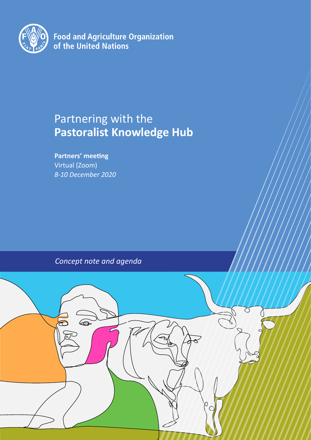

**Food and Agriculture Organization of the United Nations** 

# Partnering with the **Pastoralist Knowledge Hub**

**Partners' meeting** Virtual (Zoom) *8-10 December 2020*

*Concept note and agenda*

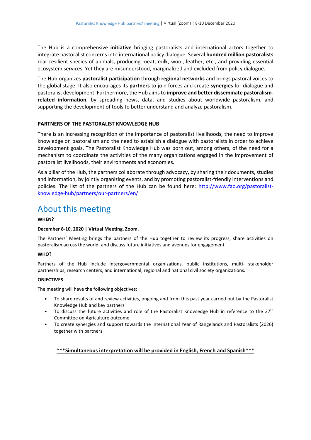The Hub is a comprehensive **initiative** bringing pastoralists and international actors together to integrate pastoralist concerns into international policy dialogue. Several **hundred million pastoralists**  rear resilient species of animals, producing meat, milk, wool, leather, etc., and providing essential ecosystem services. Yet they are misunderstood, marginalized and excluded from policy dialogue.

The Hub organizes **pastoralist participation** through **regional networks** and brings pastoral voices to the global stage. It also encourages its **partners** to join forces and create **synergies** for dialogue and pastoralist development. Furthermore, the Hub aims to **improve and better disseminate pastoralismrelated information**, by spreading news, data, and studies about worldwide pastoralism, and supporting the development of tools to better understand and analyze pastoralism.

## **PARTNERS OF THE PASTORALIST KNOWLEDGE HUB**

There is an increasing recognition of the importance of pastoralist livelihoods, the need to improve knowledge on pastoralism and the need to establish a dialogue with pastoralists in order to achieve development goals. The Pastoralist Knowledge Hub was born out, among others, of the need for a mechanism to coordinate the activities of the many organizations engaged in the improvement of pastoralist livelihoods, their environments and economies.

As a pillar of the Hub, the partners collaborate through advocacy, by sharing their documents, studies and information, by jointly organizing events, and by promoting pastoralist-friendly interventions and policies. The list of the partners of the Hub can be found here: [http://www.fao.org/pastoralist](http://www.fao.org/pastoralist-knowledge-hub/partners/our-partners/en/)[knowledge-hub/partners/our-partners/en/](http://www.fao.org/pastoralist-knowledge-hub/partners/our-partners/en/)

# About this meeting

#### **WHEN?**

## **December 8-10, 2020 | Virtual Meeting, Zoom.**

The Partners' Meeting brings the partners of the Hub together to review its progress, share activities on pastoralism across the world, and discuss future initiatives and avenues for engagement.

#### **WHO?**

Partners of the Hub include intergovernmental organizations, public institutions, multi- stakeholder partnerships, research centers, and international, regional and national civil society organizations.

#### **OBJECTIVES**

The meeting will have the following objectives:

- To share results of and review activities, ongoing and from this past year carried out by the Pastoralist Knowledge Hub and key partners
- To discuss the future activities and role of the Pastoralist Knowledge Hub in reference to the 27<sup>th</sup> Committee on Agriculture outcome
- To create synergies and support towards the International Year of Rangelands and Pastoralists (2026) together with partners

## **\*\*\*Simultaneous interpretation will be provided in English, French and Spanish\*\*\***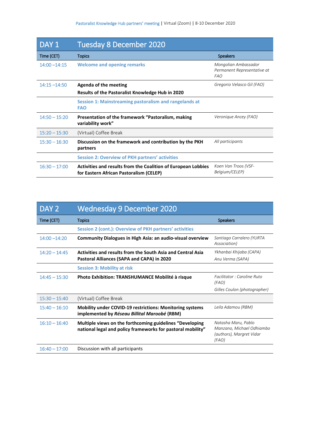| DAY <sub>1</sub> | Tuesday 8 December 2020                                                                                  |                                                                   |
|------------------|----------------------------------------------------------------------------------------------------------|-------------------------------------------------------------------|
| Time (CET)       | <b>Topics</b>                                                                                            | <b>Speakers</b>                                                   |
| $14:00 - 14:15$  | <b>Welcome and opening remarks</b>                                                                       | Mongolian Ambassador<br>Permanent Representative at<br><b>FAO</b> |
| $14:15 - 14:50$  | Agenda of the meeting                                                                                    | Gregorio Velasco Gil (FAO)                                        |
|                  | Results of the Pastoralist Knowledge Hub in 2020                                                         |                                                                   |
|                  | Session 1: Mainstreaming pastoralism and rangelands at<br><b>FAO</b>                                     |                                                                   |
| $14:50 - 15:20$  | Presentation of the framework "Pastoralism, making<br>variability work"                                  | Veronique Ancey (FAO)                                             |
| $15:20 - 15:30$  | (Virtual) Coffee Break                                                                                   |                                                                   |
| $15:30 - 16:30$  | Discussion on the framework and contribution by the PKH<br>partners                                      | All participants                                                  |
|                  | <b>Session 2: Overview of PKH partners' activities</b>                                                   |                                                                   |
| $16:30 - 17:00$  | Activities and results from the Coalition of European Lobbies<br>for Eastern African Pastoralism (CELEP) | Koen Van Troos (VSF-<br>Belgium/CELEP)                            |

| DAY <sub>2</sub> | <b>Wednesday 9 December 2020</b>                                                                                        |                                                                                       |
|------------------|-------------------------------------------------------------------------------------------------------------------------|---------------------------------------------------------------------------------------|
| Time (CET)       | <b>Topics</b>                                                                                                           | <b>Speakers</b>                                                                       |
|                  | Session 2 (cont.): Overview of PKH partners' activities                                                                 |                                                                                       |
| $14:00 - 14:20$  | Community Dialogues in High Asia: an audio-visual overview                                                              | Santiago Carralero (YURTA<br>Association)                                             |
| $14:20 - 14:45$  | Activities and results from the South Asia and Central Asia                                                             | Ykhanbai Khijaba (CAPA)                                                               |
|                  | Pastoral Alliances (SAPA and CAPA) in 2020                                                                              | Anu Verma (SAPA)                                                                      |
|                  | <b>Session 3: Mobility at risk</b>                                                                                      |                                                                                       |
| $14:45 - 15:30$  | Photo Exhibition: TRANSHUMANCE Mobilité à risque                                                                        | Facilitator : Caroline Ruto<br>(FAO)                                                  |
|                  |                                                                                                                         | Gilles Coulon (photographer)                                                          |
| $15:30 - 15:40$  | (Virtual) Coffee Break                                                                                                  |                                                                                       |
| $15:40 - 16:10$  | Mobility under COVID-19 restrictions: Monitoring systems<br>implemented by Réseau Billital Maroobé (RBM)                | Leila Adamou (RBM)                                                                    |
| $16:10 - 16:40$  | Multiple views on the forthcoming guidelines "Developing<br>mational legal and policy frameworks for pastoral mobility" | Natasha Maru, Pablo<br>Manzano, Michael Odhiambo<br>(authors), Margret Vidar<br>(FAO) |
| $16:40 - 17:00$  | Discussion with all participants                                                                                        |                                                                                       |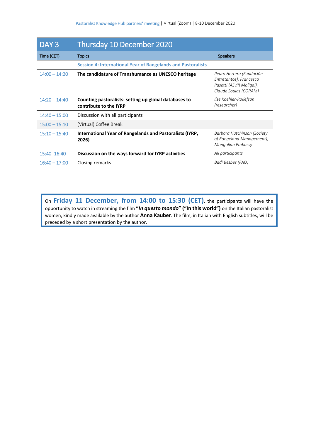| DAY <sub>3</sub> | Thursday 10 December 2020                                                       |                                                                                                          |
|------------------|---------------------------------------------------------------------------------|----------------------------------------------------------------------------------------------------------|
| Time (CET)       | <b>Topics</b>                                                                   | <b>Speakers</b>                                                                                          |
|                  | <b>Session 4: International Year of Rangelands and Pastoralists</b>             |                                                                                                          |
| $14:00 - 14:20$  | The candidature of Transhumance as UNESCO heritage                              | Pedro Herrera (Fundación<br>Entretantos), Francesca<br>Pasetti (ASviR Moligal),<br>Claude Soulas (CORAM) |
| $14:20 - 14:40$  | Counting pastoralists: setting up global databases to<br>contribute to the IYRP | Ilse Koehler-Rollefson<br>(researcher)                                                                   |
| $14:40 - 15:00$  | Discussion with all participants                                                |                                                                                                          |
| $15:00 - 15:10$  | (Virtual) Coffee Break                                                          |                                                                                                          |
| $15:10 - 15:40$  | International Year of Rangelands and Pastoralists (IYRP,<br>2026)               | Barbara Hutchinson (Society<br>of Rangeland Management),<br>Mongolian Embassy                            |
| 15:40-16:40      | Discussion on the ways forward for IYRP activities                              | All participants                                                                                         |
| $16:40 - 17:00$  | Closing remarks                                                                 | Badi Besbes (FAO)                                                                                        |

On **Friday 11 December, from 14:00 to 15:30 (CET)**, the participants will have the opportunity to watch in streaming the film **"***In questo mondo***" ("In this world")** on the Italian pastoralist women, kindly made available by the author **Anna Kauber**. The film, in Italian with English subtitles, will be preceded by a short presentation by the author.